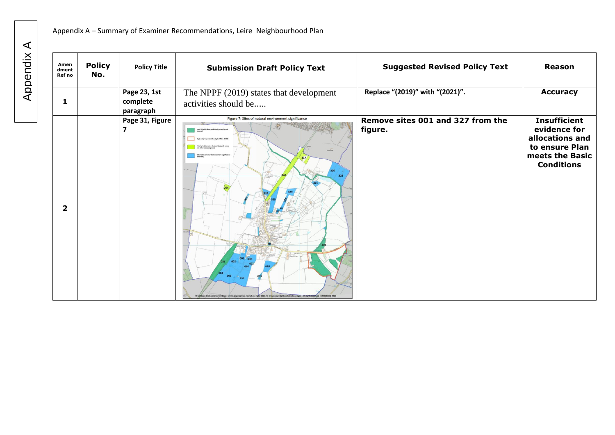| Amen<br>dment<br>Ref no | <b>Policy</b><br>No. | <b>Policy Title</b>                   | <b>Submission Draft Policy Text</b>                                                                                                                                                                                             | <b>Suggested Revised Policy Text</b>         | <b>Reason</b>                                                                                                    |
|-------------------------|----------------------|---------------------------------------|---------------------------------------------------------------------------------------------------------------------------------------------------------------------------------------------------------------------------------|----------------------------------------------|------------------------------------------------------------------------------------------------------------------|
| $\mathbf{1}$            |                      | Page 23, 1st<br>complete<br>paragraph | The NPPF (2019) states that development<br>activities should be                                                                                                                                                                 | Replace "(2019)" with "(2021)".              | <b>Accuracy</b>                                                                                                  |
| $\overline{2}$          |                      | Page 31, Figure<br>7                  | Figure 7: Sites of natural environment significance<br>ortant Geological Sites (RIGS<br>321<br>017<br>ains Ordnance Survey Data: Crown copyright and database right 2020. © Crown copyright and database right. All rights rese | Remove sites 001 and 327 from the<br>figure. | <b>Insufficient</b><br>evidence for<br>allocations and<br>to ensure Plan<br>meets the Basic<br><b>Conditions</b> |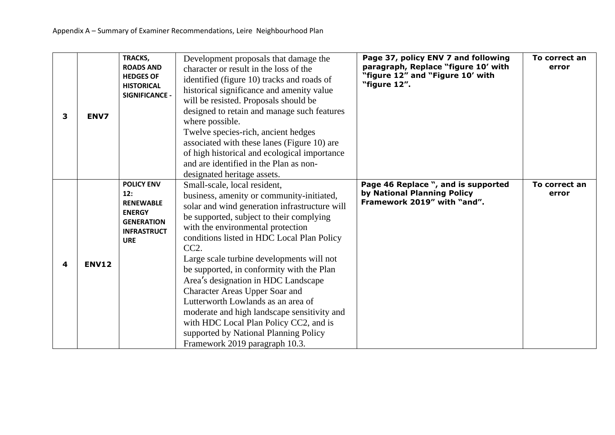| 3 | ENV7         | TRACKS,<br><b>ROADS AND</b><br><b>HEDGES OF</b><br><b>HISTORICAL</b><br>SIGNIFICANCE -                                 | Development proposals that damage the<br>character or result in the loss of the<br>identified (figure 10) tracks and roads of<br>historical significance and amenity value<br>will be resisted. Proposals should be<br>designed to retain and manage such features<br>where possible.<br>Twelve species-rich, ancient hedges<br>associated with these lanes (Figure 10) are<br>of high historical and ecological importance<br>and are identified in the Plan as non-<br>designated heritage assets.                                                                                                                                                  | Page 37, policy ENV 7 and following<br>paragraph, Replace "figure 10' with<br>"figure 12" and "Figure 10' with<br>"figure 12". | To correct an<br>error |
|---|--------------|------------------------------------------------------------------------------------------------------------------------|-------------------------------------------------------------------------------------------------------------------------------------------------------------------------------------------------------------------------------------------------------------------------------------------------------------------------------------------------------------------------------------------------------------------------------------------------------------------------------------------------------------------------------------------------------------------------------------------------------------------------------------------------------|--------------------------------------------------------------------------------------------------------------------------------|------------------------|
| 4 | <b>ENV12</b> | <b>POLICY ENV</b><br>12:<br><b>RENEWABLE</b><br><b>ENERGY</b><br><b>GENERATION</b><br><b>INFRASTRUCT</b><br><b>URE</b> | Small-scale, local resident,<br>business, amenity or community-initiated,<br>solar and wind generation infrastructure will<br>be supported, subject to their complying<br>with the environmental protection<br>conditions listed in HDC Local Plan Policy<br>CC2.<br>Large scale turbine developments will not<br>be supported, in conformity with the Plan<br>Area's designation in HDC Landscape<br><b>Character Areas Upper Soar and</b><br>Lutterworth Lowlands as an area of<br>moderate and high landscape sensitivity and<br>with HDC Local Plan Policy CC2, and is<br>supported by National Planning Policy<br>Framework 2019 paragraph 10.3. | Page 46 Replace ", and is supported<br>by National Planning Policy<br>Framework 2019" with "and".                              | To correct an<br>error |